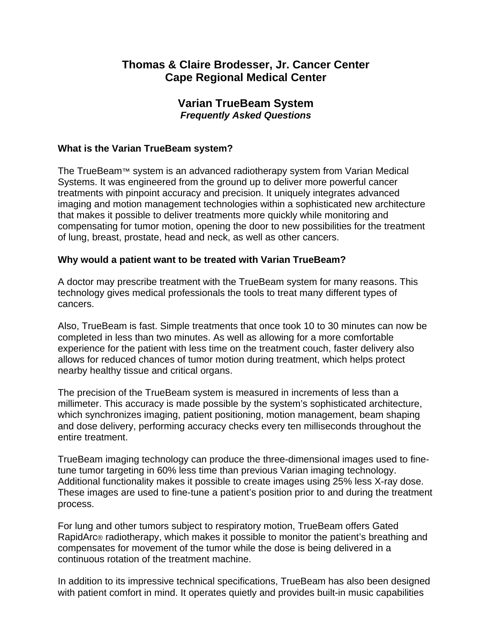# **Thomas & Claire Brodesser, Jr. Cancer Center Cape Regional Medical Center**

## **Varian TrueBeam System**  *Frequently Asked Questions*

## **What is the Varian TrueBeam system?**

The TrueBeam™ system is an advanced radiotherapy system from Varian Medical Systems. It was engineered from the ground up to deliver more powerful cancer treatments with pinpoint accuracy and precision. It uniquely integrates advanced imaging and motion management technologies within a sophisticated new architecture that makes it possible to deliver treatments more quickly while monitoring and compensating for tumor motion, opening the door to new possibilities for the treatment of lung, breast, prostate, head and neck, as well as other cancers.

#### **Why would a patient want to be treated with Varian TrueBeam?**

A doctor may prescribe treatment with the TrueBeam system for many reasons. This technology gives medical professionals the tools to treat many different types of cancers.

Also, TrueBeam is fast. Simple treatments that once took 10 to 30 minutes can now be completed in less than two minutes. As well as allowing for a more comfortable experience for the patient with less time on the treatment couch, faster delivery also allows for reduced chances of tumor motion during treatment, which helps protect nearby healthy tissue and critical organs.

The precision of the TrueBeam system is measured in increments of less than a millimeter. This accuracy is made possible by the system's sophisticated architecture, which synchronizes imaging, patient positioning, motion management, beam shaping and dose delivery, performing accuracy checks every ten milliseconds throughout the entire treatment.

TrueBeam imaging technology can produce the three-dimensional images used to finetune tumor targeting in 60% less time than previous Varian imaging technology. Additional functionality makes it possible to create images using 25% less X-ray dose. These images are used to fine-tune a patient's position prior to and during the treatment process.

For lung and other tumors subject to respiratory motion, TrueBeam offers Gated RapidArc® radiotherapy, which makes it possible to monitor the patient's breathing and compensates for movement of the tumor while the dose is being delivered in a continuous rotation of the treatment machine.

In addition to its impressive technical specifications, TrueBeam has also been designed with patient comfort in mind. It operates quietly and provides built-in music capabilities